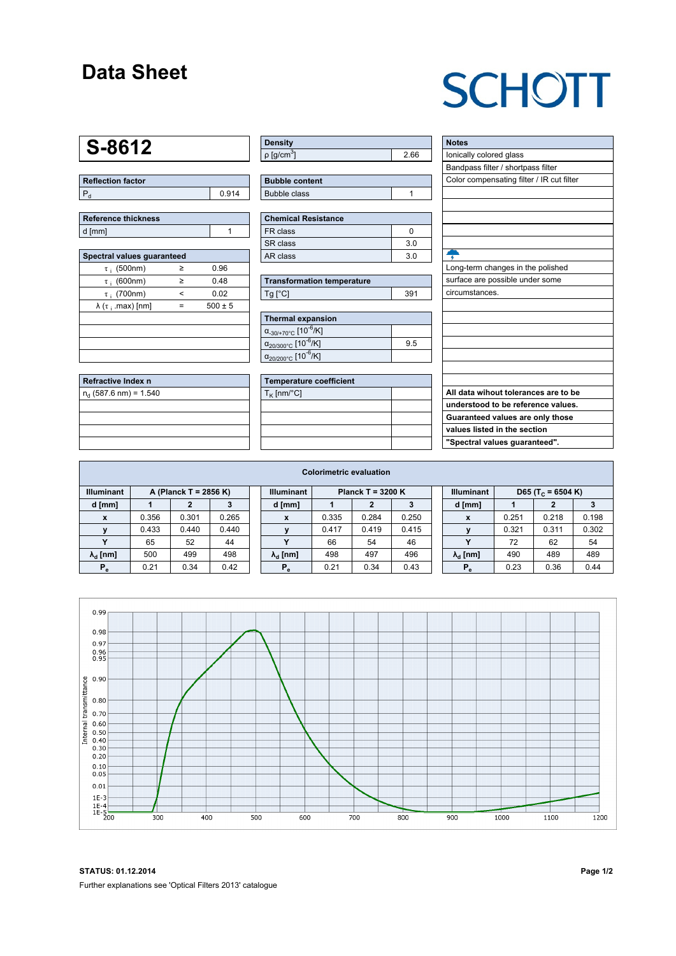### **Data Sheet**

## **SCHOTT**

### **S-8612**

| <b>Reflection factor</b> |     |  |  |  |  |  |
|--------------------------|-----|--|--|--|--|--|
|                          | 914 |  |  |  |  |  |

| Reference thickness |  |  |  |  |  |  |
|---------------------|--|--|--|--|--|--|
| d [mm]              |  |  |  |  |  |  |

| Spectral values guaranteed      |            |             |  |  |  |  |  |  |  |
|---------------------------------|------------|-------------|--|--|--|--|--|--|--|
| $\tau_i$ (500nm)                | ≥          | 0.96        |  |  |  |  |  |  |  |
| $\tau$ ; (600nm)                | ≥          | 0.48        |  |  |  |  |  |  |  |
| $\tau$ ; (700nm)                | $\epsilon$ | 0.02        |  |  |  |  |  |  |  |
| $\lambda$ ( $\tau$ ; .max) [nm] |            | $500 \pm 5$ |  |  |  |  |  |  |  |
|                                 |            |             |  |  |  |  |  |  |  |
|                                 |            |             |  |  |  |  |  |  |  |
|                                 |            |             |  |  |  |  |  |  |  |
|                                 |            |             |  |  |  |  |  |  |  |

| Refractive Index n             |  |
|--------------------------------|--|
| $n_{\rm d}$ (587.6 nm) = 1.540 |  |
|                                |  |
|                                |  |
|                                |  |
|                                |  |

| <b>Density</b>              |     |
|-----------------------------|-----|
| $\rho$ [g/cm <sup>3</sup> ] | .66 |

| <b>Bubble content</b> |  |
|-----------------------|--|
| Bubble class          |  |

| <b>Chemical Resistance</b> |                |  |  |  |  |  |  |
|----------------------------|----------------|--|--|--|--|--|--|
| FR class                   |                |  |  |  |  |  |  |
| SR class                   | 30             |  |  |  |  |  |  |
| AR class                   | 3 <sub>0</sub> |  |  |  |  |  |  |

| <b>Transformation temperature</b> |     |  |  |  |  |  |  |
|-----------------------------------|-----|--|--|--|--|--|--|
| $Tg$ [ $^{\circ}$ C]              | 391 |  |  |  |  |  |  |

| Thermal expansion                                 |     |  |  |  |  |  |  |
|---------------------------------------------------|-----|--|--|--|--|--|--|
| $\alpha_{.30/+70\degree}$ C [10 <sup>-6</sup> /K] |     |  |  |  |  |  |  |
| $\alpha_{20/300^{\circ}C}$ [10 <sup>-6</sup> /K]  | 9.5 |  |  |  |  |  |  |
| $\alpha_{20/200^{\circ}C}$ [10 <sup>-6</sup> /K]  |     |  |  |  |  |  |  |

| <b>Temperature coefficient</b> |  |  |  |  |  |  |
|--------------------------------|--|--|--|--|--|--|
| $T_K$ [nm/°C]                  |  |  |  |  |  |  |
|                                |  |  |  |  |  |  |
|                                |  |  |  |  |  |  |
|                                |  |  |  |  |  |  |
|                                |  |  |  |  |  |  |

| <b>Notes</b>                              |
|-------------------------------------------|
| lonically colored glass                   |
| Bandpass filter / shortpass filter        |
| Color compensating filter / IR cut filter |
|                                           |
|                                           |
|                                           |
|                                           |
|                                           |
|                                           |
| Long-term changes in the polished         |
| surface are possible under some           |
| circumstances.                            |
|                                           |
|                                           |
|                                           |
|                                           |
|                                           |
|                                           |
|                                           |
| All data wihout tolerances are to be      |
| understood to be reference values.        |
| Guaranteed values are only those          |
| values listed in the section              |
| "Spectral values quaranteed".             |
|                                           |

| <b>Colorimetric evaluation</b>             |       |       |       |                                          |                        |       |       |       |                   |                               |       |       |       |
|--------------------------------------------|-------|-------|-------|------------------------------------------|------------------------|-------|-------|-------|-------------------|-------------------------------|-------|-------|-------|
| <b>Illuminant</b><br>A (Planck T = 2856 K) |       |       |       | <b>Illuminant</b><br>Planck T = $3200 K$ |                        |       |       |       | <b>Illuminant</b> | D65 (T <sub>c</sub> = 6504 K) |       |       |       |
| d [mm]                                     |       |       |       |                                          | d [mm]                 |       |       |       |                   | d [mm]                        |       | 2     |       |
| X                                          | 0.356 | 0.301 | 0.265 |                                          | x                      | 0.335 | 0.284 | 0.250 |                   | X                             | 0.251 | 0.218 | 0.198 |
|                                            | 0.433 | 0.440 | 0.440 |                                          | $\mathbf{v}$           | 0.417 | 0.419 | 0.415 |                   |                               | 0.321 | 0.311 | 0.302 |
| $\checkmark$                               | 65    | 52    | 44    |                                          | v                      | 66    | 54    | 46    |                   |                               | 72    | 62    | 54    |
| $\lambda_{\rm d}$ [nm]                     | 500   | 499   | 498   |                                          | $\lambda_{\rm d}$ [nm] | 498   | 497   | 496   |                   | $\lambda_{\rm d}$ [nm]        | 490   | 489   | 489   |
| $P_e$                                      | 0.21  | 0.34  | 0.42  |                                          | $P_e$                  | 0.21  | 0.34  | 0.43  |                   | $P_e$                         | 0.23  | 0.36  | 0.44  |
|                                            |       |       |       |                                          |                        |       |       |       |                   |                               |       |       |       |



**STATUS: 01.12.2014 Page 1/2** Further explanations see 'Optical Filters 2013' catalogue